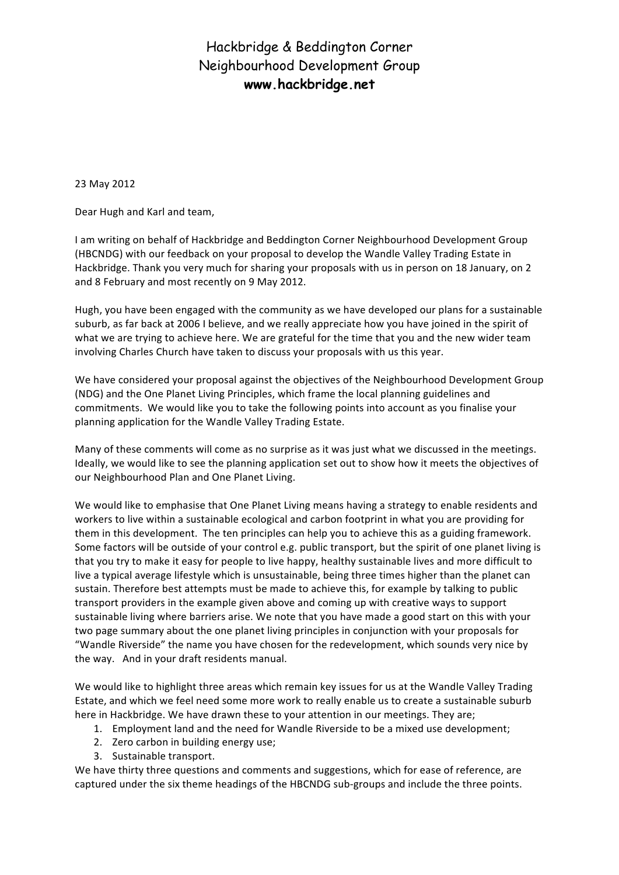23 May 2012

Dear Hugh and Karl and team,

I am writing on behalf of Hackbridge and Beddington Corner Neighbourhood Development Group (HBCNDG) with our feedback on your proposal to develop the Wandle Valley Trading Estate in Hackbridge. Thank you very much for sharing your proposals with us in person on 18 January, on 2 and 8 February and most recently on 9 May 2012.

Hugh, you have been engaged with the community as we have developed our plans for a sustainable suburb, as far back at 2006 I believe, and we really appreciate how you have joined in the spirit of what we are trying to achieve here. We are grateful for the time that you and the new wider team involving Charles Church have taken to discuss your proposals with us this year.

We have considered your proposal against the objectives of the Neighbourhood Development Group (NDG) and the One Planet Living Principles, which frame the local planning guidelines and commitments. We would like you to take the following points into account as you finalise your planning application for the Wandle Valley Trading Estate.

Many of these comments will come as no surprise as it was just what we discussed in the meetings. Ideally, we would like to see the planning application set out to show how it meets the objectives of our Neighbourhood Plan and One Planet Living.

We would like to emphasise that One Planet Living means having a strategy to enable residents and workers to live within a sustainable ecological and carbon footprint in what you are providing for them in this development. The ten principles can help you to achieve this as a guiding framework. Some factors will be outside of your control e.g. public transport, but the spirit of one planet living is that you try to make it easy for people to live happy, healthy sustainable lives and more difficult to live a typical average lifestyle which is unsustainable, being three times higher than the planet can sustain. Therefore best attempts must be made to achieve this, for example by talking to public transport providers in the example given above and coming up with creative ways to support sustainable living where barriers arise. We note that you have made a good start on this with your two page summary about the one planet living principles in conjunction with your proposals for "Wandle Riverside" the name you have chosen for the redevelopment, which sounds very nice by the way. And in your draft residents manual.

We would like to highlight three areas which remain key issues for us at the Wandle Valley Trading Estate, and which we feel need some more work to really enable us to create a sustainable suburb here in Hackbridge. We have drawn these to your attention in our meetings. They are;

- 1. Employment land and the need for Wandle Riverside to be a mixed use development;
- 2. Zero carbon in building energy use;
- 3. Sustainable transport.

We have thirty three questions and comments and suggestions, which for ease of reference, are captured under the six theme headings of the HBCNDG sub-groups and include the three points.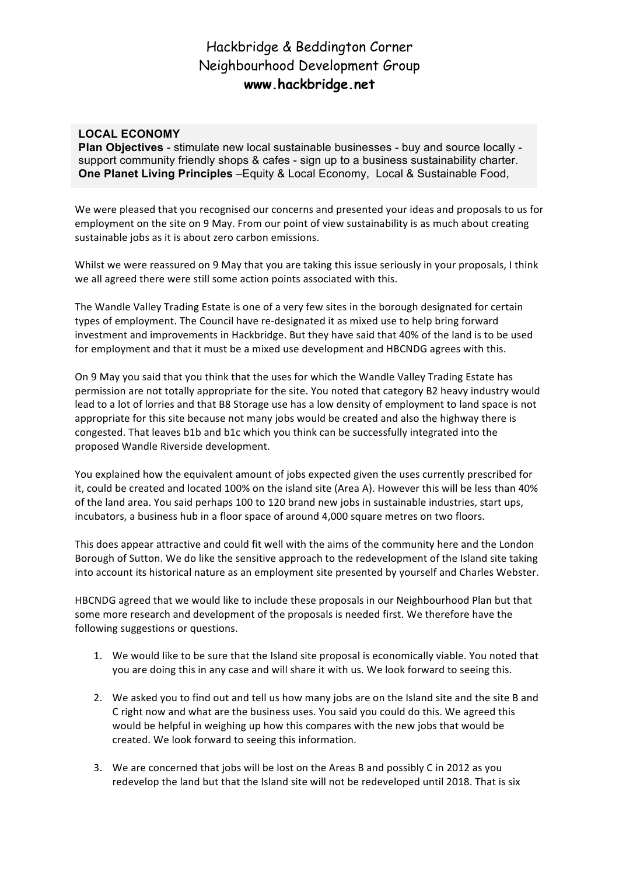### **LOCAL ECONOMY**

**Plan Objectives** - stimulate new local sustainable businesses - buy and source locally support community friendly shops & cafes - sign up to a business sustainability charter. **One Planet Living Principles** –Equity & Local Economy, Local & Sustainable Food,

We were pleased that you recognised our concerns and presented your ideas and proposals to us for employment on the site on 9 May. From our point of view sustainability is as much about creating sustainable jobs as it is about zero carbon emissions.

Whilst we were reassured on 9 May that you are taking this issue seriously in your proposals, I think we all agreed there were still some action points associated with this.

The Wandle Valley Trading Estate is one of a very few sites in the borough designated for certain types of employment. The Council have re-designated it as mixed use to help bring forward investment and improvements in Hackbridge. But they have said that 40% of the land is to be used for employment and that it must be a mixed use development and HBCNDG agrees with this.

On 9 May you said that you think that the uses for which the Wandle Valley Trading Estate has permission are not totally appropriate for the site. You noted that category B2 heavy industry would lead to a lot of lorries and that B8 Storage use has a low density of employment to land space is not appropriate for this site because not many jobs would be created and also the highway there is congested. That leaves b1b and b1c which you think can be successfully integrated into the proposed Wandle Riverside development.

You explained how the equivalent amount of jobs expected given the uses currently prescribed for it, could be created and located 100% on the island site (Area A). However this will be less than 40% of the land area. You said perhaps 100 to 120 brand new jobs in sustainable industries, start ups, incubators, a business hub in a floor space of around 4,000 square metres on two floors.

This does appear attractive and could fit well with the aims of the community here and the London Borough of Sutton. We do like the sensitive approach to the redevelopment of the Island site taking into account its historical nature as an employment site presented by yourself and Charles Webster.

HBCNDG agreed that we would like to include these proposals in our Neighbourhood Plan but that some more research and development of the proposals is needed first. We therefore have the following suggestions or questions.

- 1. We would like to be sure that the Island site proposal is economically viable. You noted that you are doing this in any case and will share it with us. We look forward to seeing this.
- 2. We asked you to find out and tell us how many jobs are on the Island site and the site B and C right now and what are the business uses. You said you could do this. We agreed this would be helpful in weighing up how this compares with the new jobs that would be created. We look forward to seeing this information.
- 3. We are concerned that jobs will be lost on the Areas B and possibly C in 2012 as you redevelop the land but that the Island site will not be redeveloped until 2018. That is six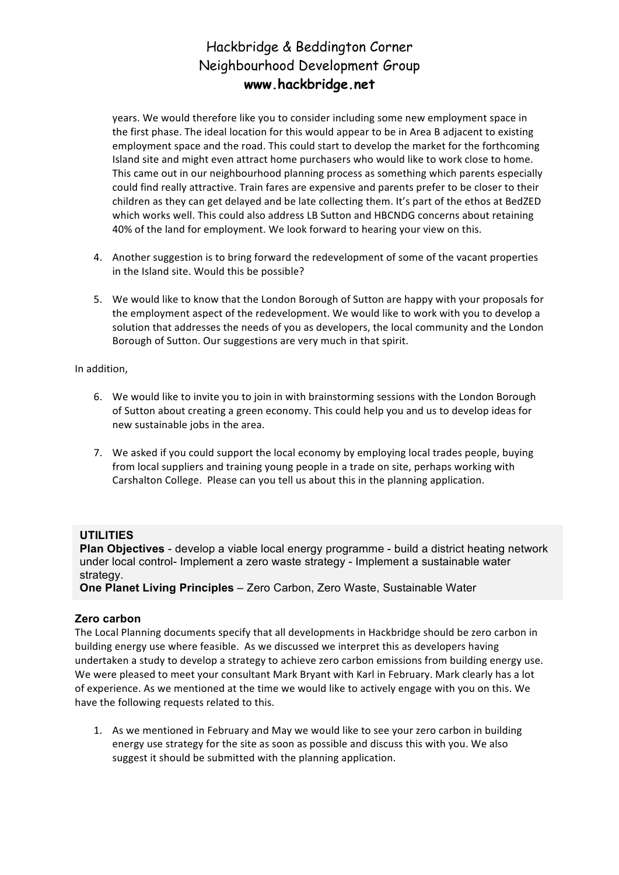years. We would therefore like you to consider including some new employment space in the first phase. The ideal location for this would appear to be in Area B adjacent to existing employment space and the road. This could start to develop the market for the forthcoming Island site and might even attract home purchasers who would like to work close to home. This came out in our neighbourhood planning process as something which parents especially could find really attractive. Train fares are expensive and parents prefer to be closer to their children as they can get delayed and be late collecting them. It's part of the ethos at BedZED which works well. This could also address LB Sutton and HBCNDG concerns about retaining 40% of the land for employment. We look forward to hearing your view on this.

- 4. Another suggestion is to bring forward the redevelopment of some of the vacant properties in the Island site. Would this be possible?
- 5. We would like to know that the London Borough of Sutton are happy with your proposals for the employment aspect of the redevelopment. We would like to work with you to develop a solution that addresses the needs of you as developers, the local community and the London Borough of Sutton. Our suggestions are very much in that spirit.

In addition,

- 6. We would like to invite you to join in with brainstorming sessions with the London Borough of Sutton about creating a green economy. This could help you and us to develop ideas for new sustainable jobs in the area.
- 7. We asked if you could support the local economy by employing local trades people, buying from local suppliers and training young people in a trade on site, perhaps working with Carshalton College. Please can you tell us about this in the planning application.

### **UTILITIES**

**Plan Objectives** - develop a viable local energy programme - build a district heating network under local control- Implement a zero waste strategy - Implement a sustainable water strategy.

**One Planet Living Principles** – Zero Carbon, Zero Waste, Sustainable Water

### **Zero carbon**

The Local Planning documents specify that all developments in Hackbridge should be zero carbon in building energy use where feasible. As we discussed we interpret this as developers having undertaken a study to develop a strategy to achieve zero carbon emissions from building energy use. We were pleased to meet your consultant Mark Bryant with Karl in February. Mark clearly has a lot of experience. As we mentioned at the time we would like to actively engage with you on this. We have the following requests related to this.

1. As we mentioned in February and May we would like to see your zero carbon in building energy use strategy for the site as soon as possible and discuss this with you. We also suggest it should be submitted with the planning application.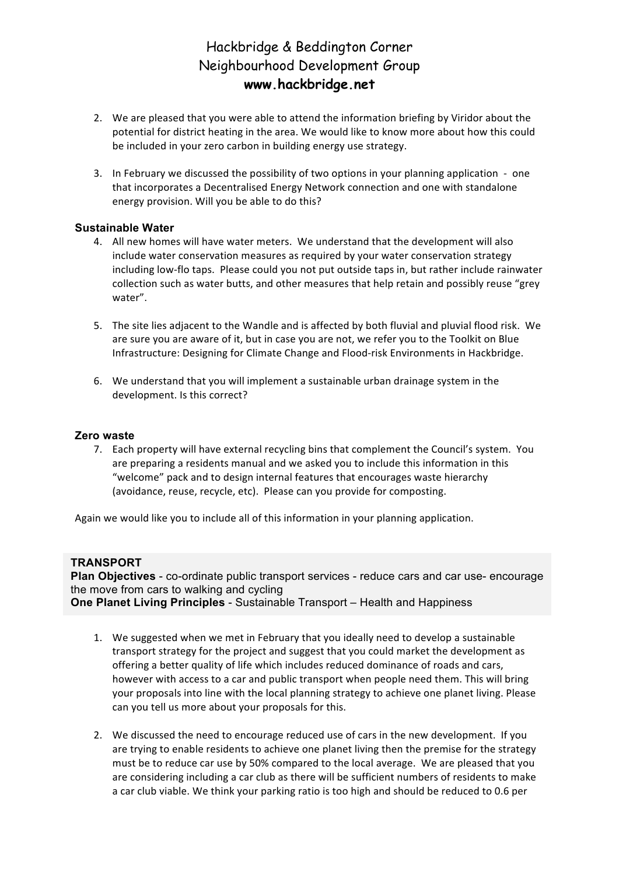- 2. We are pleased that you were able to attend the information briefing by Viridor about the potential for district heating in the area. We would like to know more about how this could be included in your zero carbon in building energy use strategy.
- 3. In February we discussed the possibility of two options in your planning application one that incorporates a Decentralised Energy Network connection and one with standalone energy provision. Will you be able to do this?

### **Sustainable Water**

- 4. All new homes will have water meters. We understand that the development will also include water conservation measures as required by your water conservation strategy including low-flo taps. Please could you not put outside taps in, but rather include rainwater collection such as water butts, and other measures that help retain and possibly reuse "grey water".
- 5. The site lies adjacent to the Wandle and is affected by both fluvial and pluvial flood risk. We are sure you are aware of it, but in case you are not, we refer you to the Toolkit on Blue Infrastructure: Designing for Climate Change and Flood-risk Environments in Hackbridge.
- 6. We understand that you will implement a sustainable urban drainage system in the development. Is this correct?

### **Zero waste**

7. Each property will have external recycling bins that complement the Council's system. You are preparing a residents manual and we asked you to include this information in this "welcome" pack and to design internal features that encourages waste hierarchy (avoidance, reuse, recycle, etc). Please can you provide for composting.

Again we would like you to include all of this information in your planning application.

#### **TRANSPORT**

**Plan Objectives** - co-ordinate public transport services - reduce cars and car use- encourage the move from cars to walking and cycling **One Planet Living Principles** - Sustainable Transport – Health and Happiness

- 1. We suggested when we met in February that you ideally need to develop a sustainable transport strategy for the project and suggest that you could market the development as offering a better quality of life which includes reduced dominance of roads and cars, however with access to a car and public transport when people need them. This will bring your proposals into line with the local planning strategy to achieve one planet living. Please can you tell us more about your proposals for this.
- 2. We discussed the need to encourage reduced use of cars in the new development. If you are trying to enable residents to achieve one planet living then the premise for the strategy must be to reduce car use by 50% compared to the local average. We are pleased that you are considering including a car club as there will be sufficient numbers of residents to make a car club viable. We think your parking ratio is too high and should be reduced to 0.6 per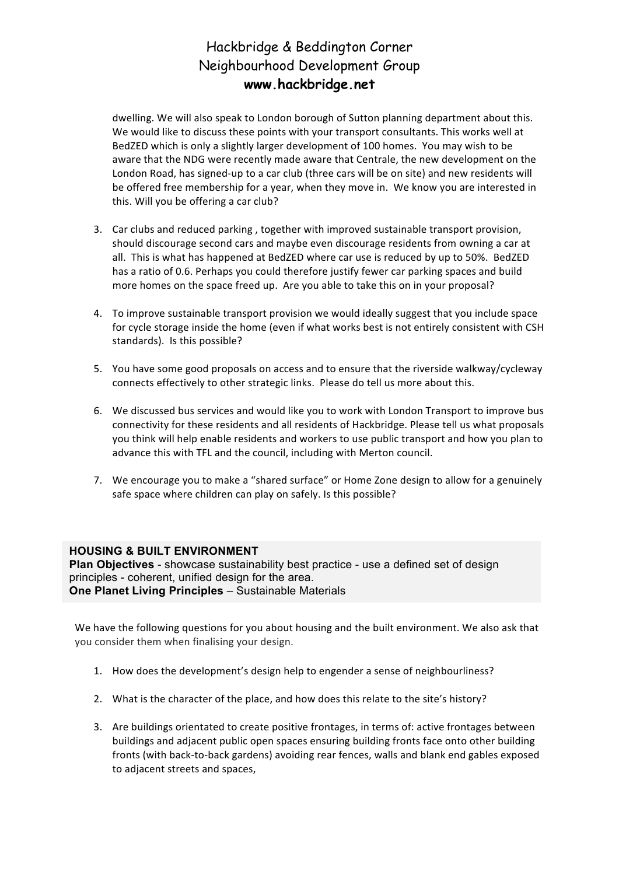dwelling. We will also speak to London borough of Sutton planning department about this. We would like to discuss these points with your transport consultants. This works well at BedZED which is only a slightly larger development of 100 homes. You may wish to be aware that the NDG were recently made aware that Centrale, the new development on the London Road, has signed-up to a car club (three cars will be on site) and new residents will be offered free membership for a year, when they move in. We know you are interested in this. Will you be offering a car club?

- 3. Car clubs and reduced parking, together with improved sustainable transport provision, should discourage second cars and maybe even discourage residents from owning a car at all. This is what has happened at BedZED where car use is reduced by up to 50%. BedZED has a ratio of 0.6. Perhaps you could therefore justify fewer car parking spaces and build more homes on the space freed up. Are you able to take this on in your proposal?
- 4. To improve sustainable transport provision we would ideally suggest that you include space for cycle storage inside the home (even if what works best is not entirely consistent with CSH standards). Is this possible?
- 5. You have some good proposals on access and to ensure that the riverside walkway/cycleway connects effectively to other strategic links. Please do tell us more about this.
- 6. We discussed bus services and would like you to work with London Transport to improve bus connectivity for these residents and all residents of Hackbridge. Please tell us what proposals you think will help enable residents and workers to use public transport and how you plan to advance this with TFL and the council, including with Merton council.
- 7. We encourage you to make a "shared surface" or Home Zone design to allow for a genuinely safe space where children can play on safely. Is this possible?

### **HOUSING & BUILT ENVIRONMENT**

**Plan Objectives** - showcase sustainability best practice - use a defined set of design principles - coherent, unified design for the area. **One Planet Living Principles** – Sustainable Materials

We have the following questions for you about housing and the built environment. We also ask that you consider them when finalising your design.

- 1. How does the development's design help to engender a sense of neighbourliness?
- 2. What is the character of the place, and how does this relate to the site's history?
- 3. Are buildings orientated to create positive frontages, in terms of: active frontages between buildings and adjacent public open spaces ensuring building fronts face onto other building fronts (with back-to-back gardens) avoiding rear fences, walls and blank end gables exposed to adjacent streets and spaces,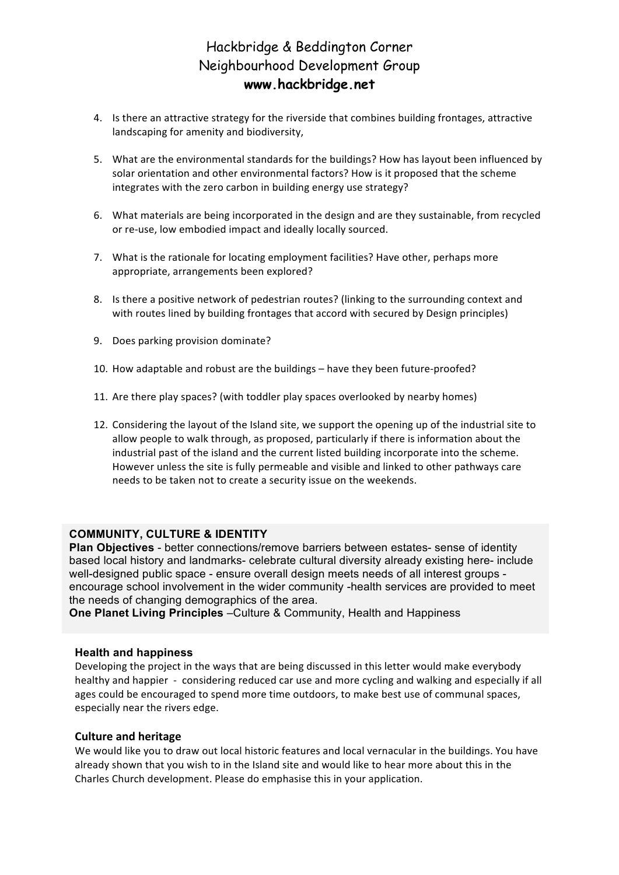- 4. Is there an attractive strategy for the riverside that combines building frontages, attractive landscaping for amenity and biodiversity,
- 5. What are the environmental standards for the buildings? How has layout been influenced by solar orientation and other environmental factors? How is it proposed that the scheme integrates with the zero carbon in building energy use strategy?
- 6. What materials are being incorporated in the design and are they sustainable, from recycled or re-use, low embodied impact and ideally locally sourced.
- 7. What is the rationale for locating employment facilities? Have other, perhaps more appropriate, arrangements been explored?
- 8. Is there a positive network of pedestrian routes? (linking to the surrounding context and with routes lined by building frontages that accord with secured by Design principles)
- 9. Does parking provision dominate?
- 10. How adaptable and robust are the buildings have they been future-proofed?
- 11. Are there play spaces? (with toddler play spaces overlooked by nearby homes)
- 12. Considering the layout of the Island site, we support the opening up of the industrial site to allow people to walk through, as proposed, particularly if there is information about the industrial past of the island and the current listed building incorporate into the scheme. However unless the site is fully permeable and visible and linked to other pathways care needs to be taken not to create a security issue on the weekends.

#### **COMMUNITY, CULTURE & IDENTITY**

**Plan Objectives** - better connections/remove barriers between estates- sense of identity based local history and landmarks- celebrate cultural diversity already existing here- include well-designed public space - ensure overall design meets needs of all interest groups encourage school involvement in the wider community -health services are provided to meet the needs of changing demographics of the area.

**One Planet Living Principles** –Culture & Community, Health and Happiness

#### **Health and happiness**

Developing the project in the ways that are being discussed in this letter would make everybody healthy and happier - considering reduced car use and more cycling and walking and especially if all ages could be encouraged to spend more time outdoors, to make best use of communal spaces, especially near the rivers edge.

#### **Culture and heritage**

We would like you to draw out local historic features and local vernacular in the buildings. You have already shown that you wish to in the Island site and would like to hear more about this in the Charles Church development. Please do emphasise this in your application.